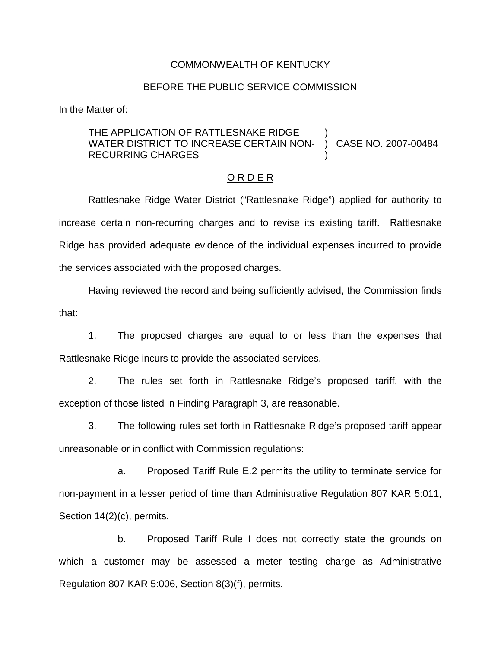#### COMMONWEALTH OF KENTUCKY

#### BEFORE THE PUBLIC SERVICE COMMISSION

In the Matter of:

#### THE APPLICATION OF RATTLESNAKE RIDGE WATER DISTRICT TO INCREASE CERTAIN NON-RECURRING CHARGES ) ) CASE NO. 2007-00484 )

#### O R D E R

Rattlesnake Ridge Water District ("Rattlesnake Ridge") applied for authority to increase certain non-recurring charges and to revise its existing tariff. Rattlesnake Ridge has provided adequate evidence of the individual expenses incurred to provide the services associated with the proposed charges.

Having reviewed the record and being sufficiently advised, the Commission finds that:

1. The proposed charges are equal to or less than the expenses that Rattlesnake Ridge incurs to provide the associated services.

2. The rules set forth in Rattlesnake Ridge's proposed tariff, with the exception of those listed in Finding Paragraph 3, are reasonable.

3. The following rules set forth in Rattlesnake Ridge's proposed tariff appear unreasonable or in conflict with Commission regulations:

a. Proposed Tariff Rule E.2 permits the utility to terminate service for non-payment in a lesser period of time than Administrative Regulation 807 KAR 5:011, Section 14(2)(c), permits.

b. Proposed Tariff Rule I does not correctly state the grounds on which a customer may be assessed a meter testing charge as Administrative Regulation 807 KAR 5:006, Section 8(3)(f), permits.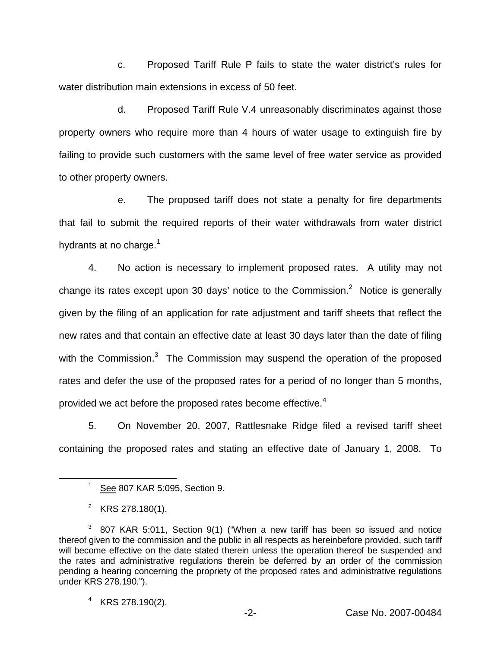c. Proposed Tariff Rule P fails to state the water district's rules for water distribution main extensions in excess of 50 feet.

d. Proposed Tariff Rule V.4 unreasonably discriminates against those property owners who require more than 4 hours of water usage to extinguish fire by failing to provide such customers with the same level of free water service as provided to other property owners.

e. The proposed tariff does not state a penalty for fire departments that fail to submit the required reports of their water withdrawals from water district hydrants at no charge. $<sup>1</sup>$ </sup>

4. No action is necessary to implement proposed rates. A utility may not change its rates except upon 30 days' notice to the Commission.<sup>2</sup> Notice is generally given by the filing of an application for rate adjustment and tariff sheets that reflect the new rates and that contain an effective date at least 30 days later than the date of filing with the Commission.<sup>3</sup> The Commission may suspend the operation of the proposed rates and defer the use of the proposed rates for a period of no longer than 5 months, provided we act before the proposed rates become effective.<sup>4</sup>

5. On November 20, 2007, Rattlesnake Ridge filed a revised tariff sheet containing the proposed rates and stating an effective date of January 1, 2008. To

 $1$  See 807 KAR 5:095, Section 9.

<sup>&</sup>lt;sup>2</sup> KRS 278.180(1).

<sup>&</sup>lt;sup>3</sup> 807 KAR 5:011, Section 9(1) ("When a new tariff has been so issued and notice thereof given to the commission and the public in all respects as hereinbefore provided, such tariff will become effective on the date stated therein unless the operation thereof be suspended and the rates and administrative regulations therein be deferred by an order of the commission pending a hearing concerning the propriety of the proposed rates and administrative regulations under KRS 278.190.").

<sup>4</sup> KRS 278.190(2).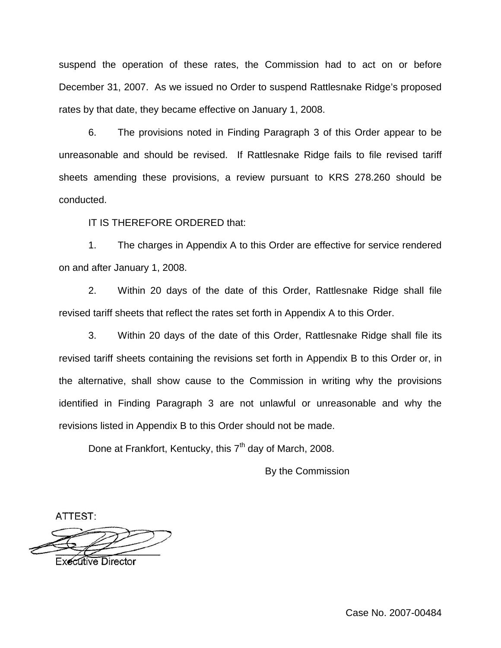suspend the operation of these rates, the Commission had to act on or before December 31, 2007. As we issued no Order to suspend Rattlesnake Ridge's proposed rates by that date, they became effective on January 1, 2008.

6. The provisions noted in Finding Paragraph 3 of this Order appear to be unreasonable and should be revised. If Rattlesnake Ridge fails to file revised tariff sheets amending these provisions, a review pursuant to KRS 278.260 should be conducted.

IT IS THEREFORE ORDERED that:

1. The charges in Appendix A to this Order are effective for service rendered on and after January 1, 2008.

2. Within 20 days of the date of this Order, Rattlesnake Ridge shall file revised tariff sheets that reflect the rates set forth in Appendix A to this Order.

3. Within 20 days of the date of this Order, Rattlesnake Ridge shall file its revised tariff sheets containing the revisions set forth in Appendix B to this Order or, in the alternative, shall show cause to the Commission in writing why the provisions identified in Finding Paragraph 3 are not unlawful or unreasonable and why the revisions listed in Appendix B to this Order should not be made.

Done at Frankfort, Kentucky, this  $7<sup>th</sup>$  day of March, 2008.

By the Commission

ATTEST:

**Executive Director** 

Case No. 2007-00484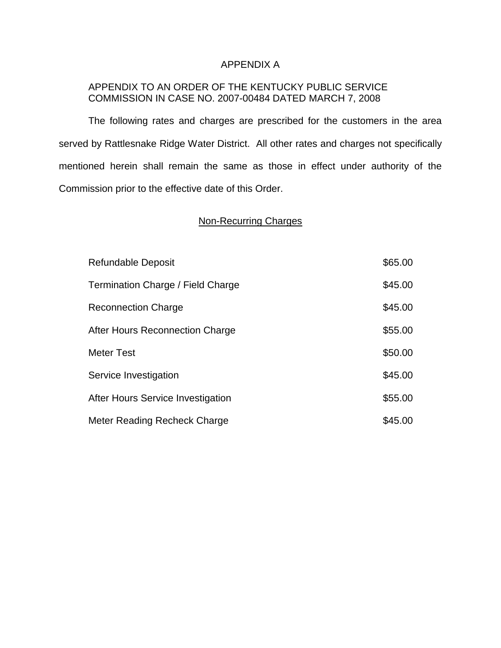## APPENDIX A

# APPENDIX TO AN ORDER OF THE KENTUCKY PUBLIC SERVICE COMMISSION IN CASE NO. 2007-00484 DATED MARCH 7, 2008

The following rates and charges are prescribed for the customers in the area served by Rattlesnake Ridge Water District. All other rates and charges not specifically mentioned herein shall remain the same as those in effect under authority of the Commission prior to the effective date of this Order.

## Non-Recurring Charges

| <b>Refundable Deposit</b>         | \$65.00 |
|-----------------------------------|---------|
| Termination Charge / Field Charge | \$45.00 |
| <b>Reconnection Charge</b>        | \$45.00 |
| After Hours Reconnection Charge   | \$55.00 |
| <b>Meter Test</b>                 | \$50.00 |
| Service Investigation             | \$45.00 |
| After Hours Service Investigation | \$55.00 |
| Meter Reading Recheck Charge      | \$45.00 |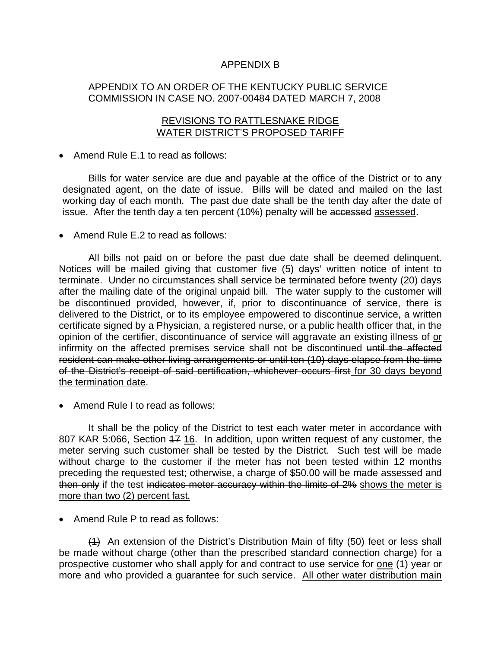## APPENDIX B

## APPENDIX TO AN ORDER OF THE KENTUCKY PUBLIC SERVICE COMMISSION IN CASE NO. 2007-00484 DATED MARCH 7, 2008

### REVISIONS TO RATTLESNAKE RIDGE WATER DISTRICT'S PROPOSED TARIFF

#### ■ Amend Rule E.1 to read as follows:

Bills for water service are due and payable at the office of the District or to any designated agent, on the date of issue. Bills will be dated and mailed on the last working day of each month. The past due date shall be the tenth day after the date of issue. After the tenth day a ten percent (10%) penalty will be accessed assessed.

■ Amend Rule E.2 to read as follows:

All bills not paid on or before the past due date shall be deemed delinquent. Notices will be mailed giving that customer five (5) days' written notice of intent to terminate. Under no circumstances shall service be terminated before twenty (20) days after the mailing date of the original unpaid bill. The water supply to the customer will be discontinued provided, however, if, prior to discontinuance of service, there is delivered to the District, or to its employee empowered to discontinue service, a written certificate signed by a Physician, a registered nurse, or a public health officer that, in the opinion of the certifier, discontinuance of service will aggravate an existing illness of or infirmity on the affected premises service shall not be discontinued until the affected resident can make other living arrangements or until ten (10) days elapse from the time of the District's receipt of said certification, whichever occurs first for 30 days beyond the termination date.

■ Amend Rule I to read as follows:

It shall be the policy of the District to test each water meter in accordance with 807 KAR 5:066, Section 47 16. In addition, upon written request of any customer, the meter serving such customer shall be tested by the District. Such test will be made without charge to the customer if the meter has not been tested within 12 months preceding the requested test; otherwise, a charge of \$50.00 will be made assessed and then only if the test indicates meter accuracy within the limits of 2% shows the meter is more than two (2) percent fast.

■ Amend Rule P to read as follows:

(1) An extension of the District's Distribution Main of fifty (50) feet or less shall be made without charge (other than the prescribed standard connection charge) for a prospective customer who shall apply for and contract to use service for one (1) year or more and who provided a guarantee for such service. All other water distribution main